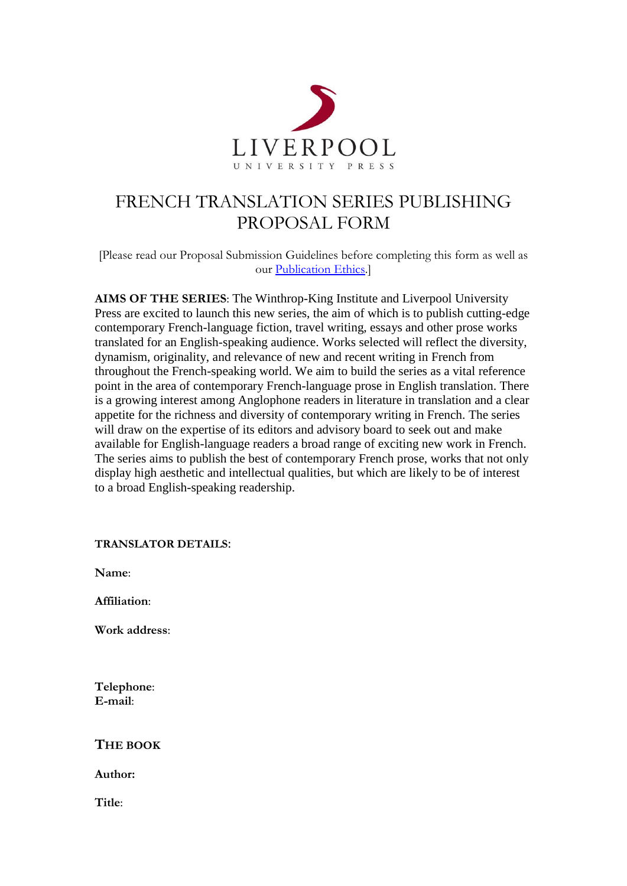

# FRENCH TRANSLATION SERIES PUBLISHING PROPOSAL FORM

[Please read our Proposal Submission Guidelines before completing this form as well as our [Publication Ethics.](http://bit.ly/pubethicslup2020)]

**AIMS OF THE SERIES**: The Winthrop-King Institute and Liverpool University Press are excited to launch this new series, the aim of which is to publish cutting-edge contemporary French-language fiction, travel writing, essays and other prose works translated for an English-speaking audience. Works selected will reflect the diversity, dynamism, originality, and relevance of new and recent writing in French from throughout the French-speaking world. We aim to build the series as a vital reference point in the area of contemporary French-language prose in English translation. There is a growing interest among Anglophone readers in literature in translation and a clear appetite for the richness and diversity of contemporary writing in French. The series will draw on the expertise of its editors and advisory board to seek out and make available for English-language readers a broad range of exciting new work in French. The series aims to publish the best of contemporary French prose, works that not only display high aesthetic and intellectual qualities, but which are likely to be of interest to a broad English-speaking readership.

**TRANSLATOR DETAILS**:

**Name**:

**Affiliation**:

**Work address**:

**Telephone**: **E-mail**:

**THE BOOK**

**Author:**

**Title**: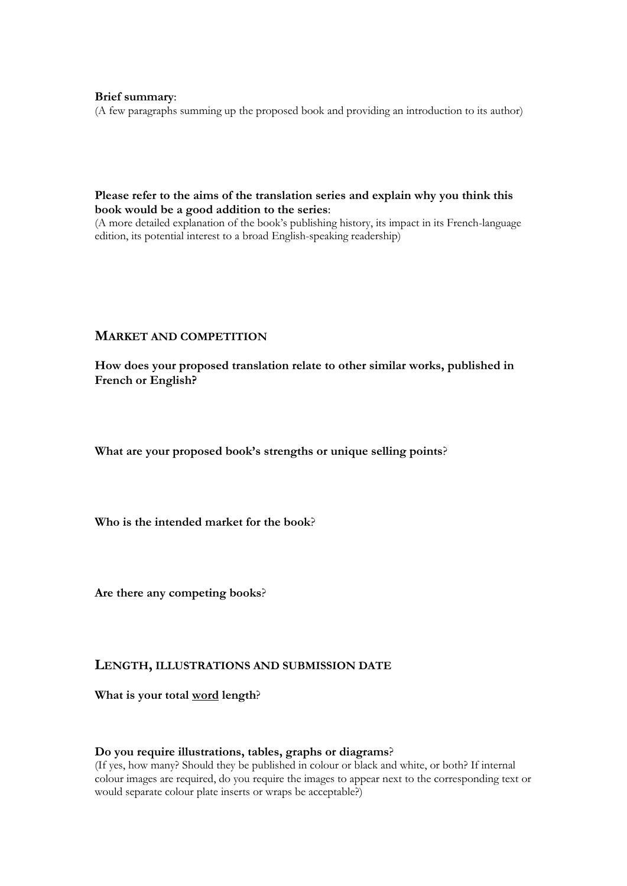## **Brief summary**:

(A few paragraphs summing up the proposed book and providing an introduction to its author)

# **Please refer to the aims of the translation series and explain why you think this book would be a good addition to the series**:

(A more detailed explanation of the book's publishing history, its impact in its French-language edition, its potential interest to a broad English-speaking readership)

# **MARKET AND COMPETITION**

**How does your proposed translation relate to other similar works, published in French or English?**

**What are your proposed book's strengths or unique selling points**?

**Who is the intended market for the book**?

**Are there any competing books**?

# **LENGTH, ILLUSTRATIONS AND SUBMISSION DATE**

**What is your total word length**?

#### **Do you require illustrations, tables, graphs or diagrams**?

(If yes, how many? Should they be published in colour or black and white, or both? If internal colour images are required, do you require the images to appear next to the corresponding text or would separate colour plate inserts or wraps be acceptable?)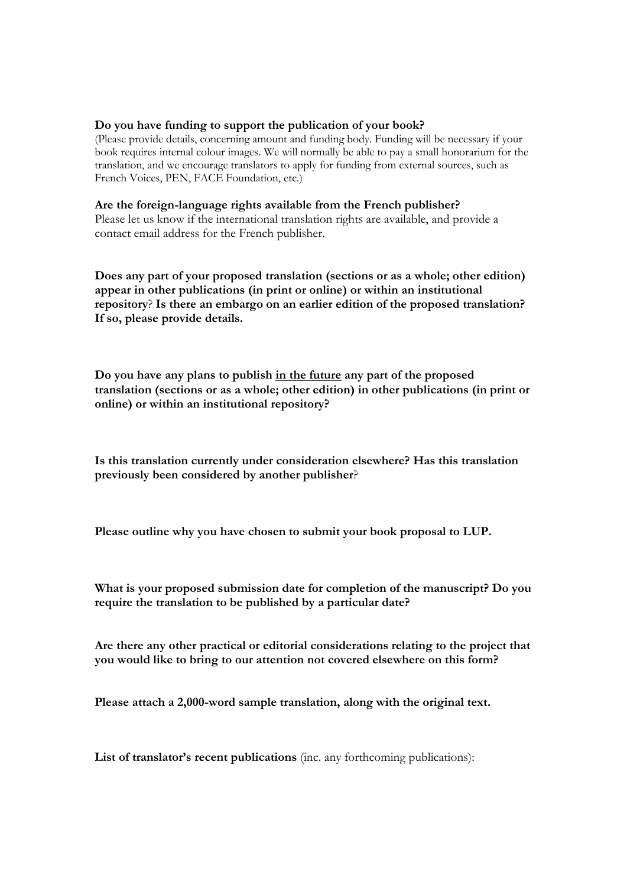## **Do you have funding to support the publication of your book?**

(Please provide details, concerning amount and funding body. Funding will be necessary if your book requires internal colour images. We will normally be able to pay a small honorarium for the translation, and we encourage translators to apply for funding from external sources, such as French Voices, PEN, FACE Foundation, etc.)

## **Are the foreign-language rights available from the French publisher?**

Please let us know if the international translation rights are available, and provide a contact email address for the French publisher.

**Does any part of your proposed translation (sections or as a whole; other edition) appear in other publications (in print or online) or within an institutional repository**? **Is there an embargo on an earlier edition of the proposed translation? If so, please provide details.**

**Do you have any plans to publish in the future any part of the proposed translation (sections or as a whole; other edition) in other publications (in print or online) or within an institutional repository?**

**Is this translation currently under consideration elsewhere? Has this translation previously been considered by another publisher**?

**Please outline why you have chosen to submit your book proposal to LUP.**

**What is your proposed submission date for completion of the manuscript? Do you require the translation to be published by a particular date?**

**Are there any other practical or editorial considerations relating to the project that you would like to bring to our attention not covered elsewhere on this form?**

**Please attach a 2,000-word sample translation, along with the original text.**

List of **translator's recent publications** (inc. any forthcoming publications):